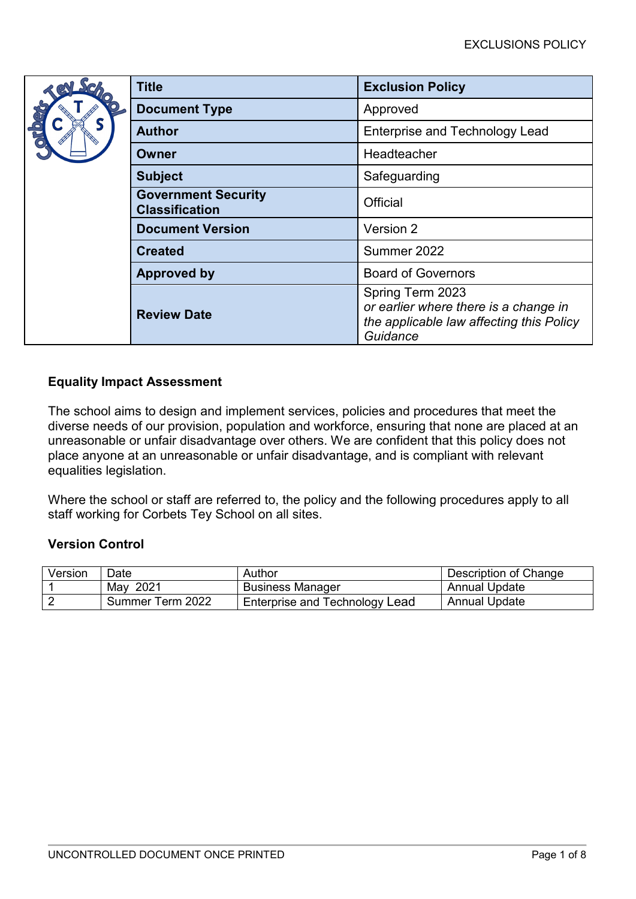|  | <b>Title</b>                                        | <b>Exclusion Policy</b>                                                                                           |  |
|--|-----------------------------------------------------|-------------------------------------------------------------------------------------------------------------------|--|
|  | <b>Document Type</b>                                | Approved                                                                                                          |  |
|  | <b>Author</b>                                       | <b>Enterprise and Technology Lead</b>                                                                             |  |
|  | Owner                                               | Headteacher                                                                                                       |  |
|  | <b>Subject</b>                                      | Safeguarding                                                                                                      |  |
|  | <b>Government Security</b><br><b>Classification</b> | Official                                                                                                          |  |
|  | <b>Document Version</b>                             | Version 2                                                                                                         |  |
|  | <b>Created</b>                                      | Summer 2022                                                                                                       |  |
|  | <b>Approved by</b>                                  | <b>Board of Governors</b>                                                                                         |  |
|  | <b>Review Date</b>                                  | Spring Term 2023<br>or earlier where there is a change in<br>the applicable law affecting this Policy<br>Guidance |  |

# **Equality Impact Assessment**

The school aims to design and implement services, policies and procedures that meet the diverse needs of our provision, population and workforce, ensuring that none are placed at an unreasonable or unfair disadvantage over others. We are confident that this policy does not place anyone at an unreasonable or unfair disadvantage, and is compliant with relevant equalities legislation.

Where the school or staff are referred to, the policy and the following procedures apply to all staff working for Corbets Tey School on all sites.

# **Version Control**

| Version | Date             | Author                         | Description of Change |
|---------|------------------|--------------------------------|-----------------------|
|         | May 2021         | <b>Business Manager</b>        | <b>Annual Update</b>  |
|         | Summer Term 2022 | Enterprise and Technology Lead | <b>Annual Update</b>  |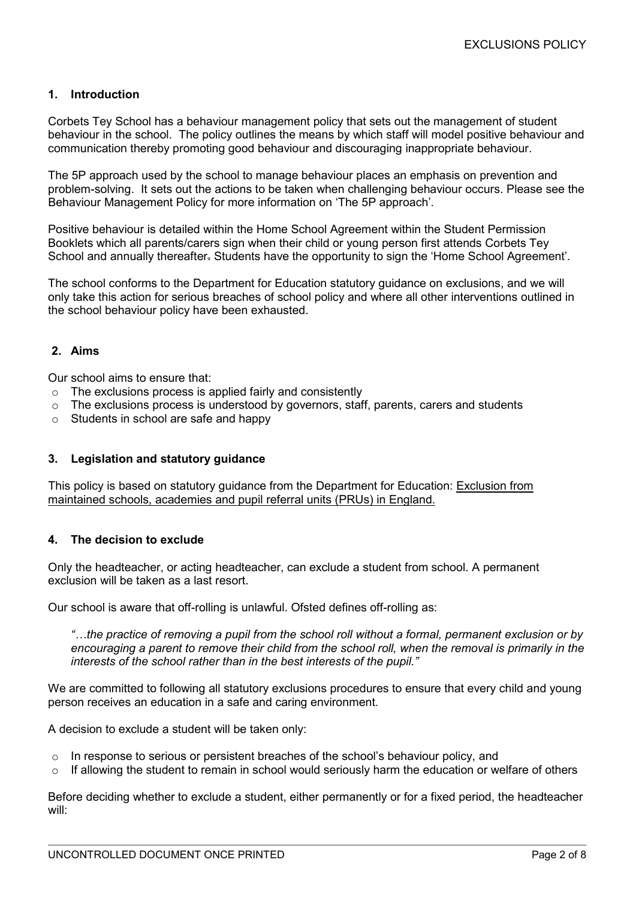## **1. Introduction**

Corbets Tey School has a behaviour management policy that sets out the management of student behaviour in the school. The policy outlines the means by which staff will model positive behaviour and communication thereby promoting good behaviour and discouraging inappropriate behaviour.

The 5P approach used by the school to manage behaviour places an emphasis on prevention and problem-solving. It sets out the actions to be taken when challenging behaviour occurs. Please see the Behaviour Management Policy for more information on 'The 5P approach'.

Positive behaviour is detailed within the Home School Agreement within the Student Permission Booklets which all parents/carers sign when their child or young person first attends Corbets Tey School and annually thereafter. Students have the opportunity to sign the 'Home School Agreement'.

The school conforms to the Department for Education statutory guidance on exclusions, and we will only take this action for serious breaches of school policy and where all other interventions outlined in the school behaviour policy have been exhausted.

#### **2. Aims**

Our school aims to ensure that:

- o The exclusions process is applied fairly and consistently
- $\circ$  The exclusions process is understood by governors, staff, parents, carers and students
- o Students in school are safe and happy

### **3. Legislation and statutory guidance**

This policy is based on statutory guidance from the Department for Education: [Exclusion from](https://assets.publishing.service.gov.uk/government/uploads/system/uploads/attachment_data/file/921405/20170831_Exclusion_Stat_guidance_Web_version.pdf)  [maintained schools, academies and pupil](https://assets.publishing.service.gov.uk/government/uploads/system/uploads/attachment_data/file/921405/20170831_Exclusion_Stat_guidance_Web_version.pdf) referral units (PRUs) in England.

### **4. The decision to exclude**

Only the headteacher, or acting headteacher, can exclude a student from school. A permanent exclusion will be taken as a last resort.

Our school is aware that off-rolling is unlawful. Ofsted defines off-rolling as:

*"…the practice of removing a pupil from the school roll without a formal, permanent exclusion or by encouraging a parent to remove their child from the school roll, when the removal is primarily in the interests of the school rather than in the best interests of the pupil."*

We are committed to following all statutory exclusions procedures to ensure that every child and young person receives an education in a safe and caring environment.

A decision to exclude a student will be taken only:

- o In response to serious or persistent breaches of the school's behaviour policy, and
- $\circ$  If allowing the student to remain in school would seriously harm the education or welfare of others

Before deciding whether to exclude a student, either permanently or for a fixed period, the headteacher will: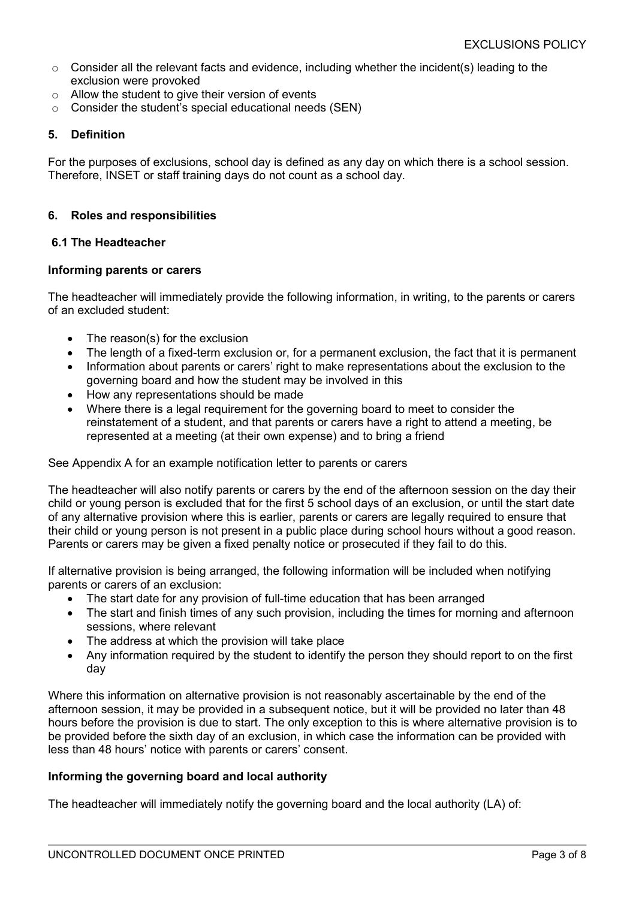- $\circ$  Consider all the relevant facts and evidence, including whether the incident(s) leading to the exclusion were provoked
- $\circ$  Allow the student to give their version of events
- o Consider the student's special educational needs (SEN)

## **5. Definition**

For the purposes of exclusions, school day is defined as any day on which there is a school session. Therefore, INSET or staff training days do not count as a school day.

## **6. Roles and responsibilities**

### **6.1 The Headteacher**

### **Informing parents or carers**

The headteacher will immediately provide the following information, in writing, to the parents or carers of an excluded student:

- The reason(s) for the exclusion
- The length of a fixed-term exclusion or, for a permanent exclusion, the fact that it is permanent
- Information about parents or carers' right to make representations about the exclusion to the governing board and how the student may be involved in this
- How any representations should be made
- Where there is a legal requirement for the governing board to meet to consider the reinstatement of a student, and that parents or carers have a right to attend a meeting, be represented at a meeting (at their own expense) and to bring a friend

See Appendix A for an example notification letter to parents or carers

The headteacher will also notify parents or carers by the end of the afternoon session on the day their child or young person is excluded that for the first 5 school days of an exclusion, or until the start date of any alternative provision where this is earlier, parents or carers are legally required to ensure that their child or young person is not present in a public place during school hours without a good reason. Parents or carers may be given a fixed penalty notice or prosecuted if they fail to do this.

If alternative provision is being arranged, the following information will be included when notifying parents or carers of an exclusion:

- The start date for any provision of full-time education that has been arranged
- The start and finish times of any such provision, including the times for morning and afternoon sessions, where relevant
- The address at which the provision will take place
- Any information required by the student to identify the person they should report to on the first day

Where this information on alternative provision is not reasonably ascertainable by the end of the afternoon session, it may be provided in a subsequent notice, but it will be provided no later than 48 hours before the provision is due to start. The only exception to this is where alternative provision is to be provided before the sixth day of an exclusion, in which case the information can be provided with less than 48 hours' notice with parents or carers' consent.

### **Informing the governing board and local authority**

The headteacher will immediately notify the governing board and the local authority (LA) of: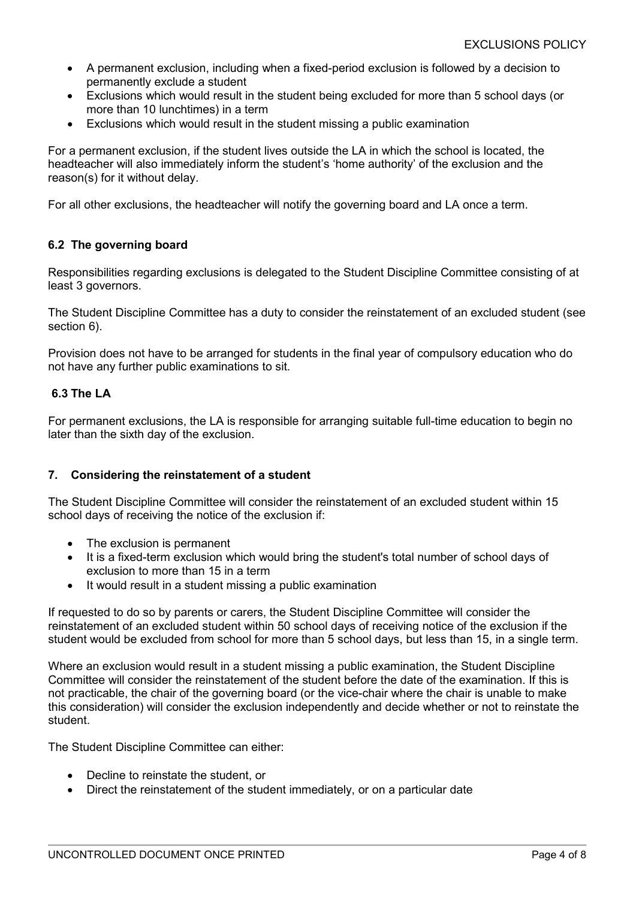- A permanent exclusion, including when a fixed-period exclusion is followed by a decision to permanently exclude a student
- Exclusions which would result in the student being excluded for more than 5 school days (or more than 10 lunchtimes) in a term
- Exclusions which would result in the student missing a public examination

For a permanent exclusion, if the student lives outside the LA in which the school is located, the headteacher will also immediately inform the student's 'home authority' of the exclusion and the reason(s) for it without delay.

For all other exclusions, the headteacher will notify the governing board and LA once a term.

### **6.2 The governing board**

Responsibilities regarding exclusions is delegated to the Student Discipline Committee consisting of at least 3 governors.

The Student Discipline Committee has a duty to consider the reinstatement of an excluded student (see section 6).

Provision does not have to be arranged for students in the final year of compulsory education who do not have any further public examinations to sit.

### **6.3 The LA**

For permanent exclusions, the LA is responsible for arranging suitable full-time education to begin no later than the sixth day of the exclusion.

### **7. Considering the reinstatement of a student**

The Student Discipline Committee will consider the reinstatement of an excluded student within 15 school days of receiving the notice of the exclusion if:

- The exclusion is permanent
- It is a fixed-term exclusion which would bring the student's total number of school days of exclusion to more than 15 in a term
- It would result in a student missing a public examination

If requested to do so by parents or carers, the Student Discipline Committee will consider the reinstatement of an excluded student within 50 school days of receiving notice of the exclusion if the student would be excluded from school for more than 5 school days, but less than 15, in a single term.

Where an exclusion would result in a student missing a public examination, the Student Discipline Committee will consider the reinstatement of the student before the date of the examination. If this is not practicable, the chair of the governing board (or the vice-chair where the chair is unable to make this consideration) will consider the exclusion independently and decide whether or not to reinstate the student.

The Student Discipline Committee can either:

- Decline to reinstate the student, or
- Direct the reinstatement of the student immediately, or on a particular date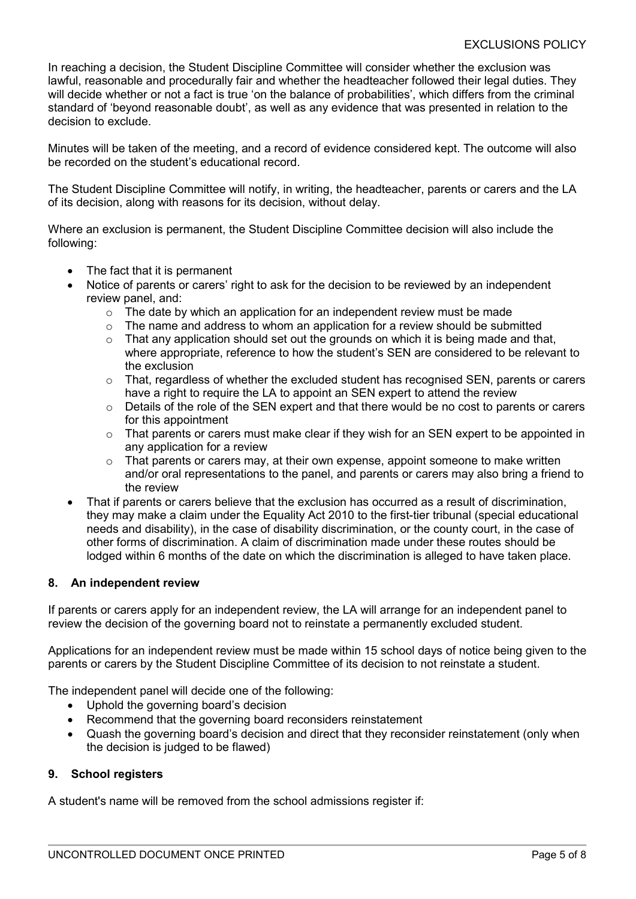In reaching a decision, the Student Discipline Committee will consider whether the exclusion was lawful, reasonable and procedurally fair and whether the headteacher followed their legal duties. They will decide whether or not a fact is true 'on the balance of probabilities', which differs from the criminal standard of 'beyond reasonable doubt', as well as any evidence that was presented in relation to the decision to exclude.

Minutes will be taken of the meeting, and a record of evidence considered kept. The outcome will also be recorded on the student's educational record.

The Student Discipline Committee will notify, in writing, the headteacher, parents or carers and the LA of its decision, along with reasons for its decision, without delay.

Where an exclusion is permanent, the Student Discipline Committee decision will also include the following:

- The fact that it is permanent
- Notice of parents or carers' right to ask for the decision to be reviewed by an independent review panel, and:
	- $\circ$  The date by which an application for an independent review must be made
	- $\circ$  The name and address to whom an application for a review should be submitted
	- $\circ$  That any application should set out the grounds on which it is being made and that, where appropriate, reference to how the student's SEN are considered to be relevant to the exclusion
	- o That, regardless of whether the excluded student has recognised SEN, parents or carers have a right to require the LA to appoint an SEN expert to attend the review
	- o Details of the role of the SEN expert and that there would be no cost to parents or carers for this appointment
	- $\circ$  That parents or carers must make clear if they wish for an SEN expert to be appointed in any application for a review
	- $\circ$  That parents or carers may, at their own expense, appoint someone to make written and/or oral representations to the panel, and parents or carers may also bring a friend to the review
- That if parents or carers believe that the exclusion has occurred as a result of discrimination, they may make a claim under the Equality Act 2010 to the first-tier tribunal (special educational needs and disability), in the case of disability discrimination, or the county court, in the case of other forms of discrimination. A claim of discrimination made under these routes should be lodged within 6 months of the date on which the discrimination is alleged to have taken place.

### **8. An independent review**

If parents or carers apply for an independent review, the LA will arrange for an independent panel to review the decision of the governing board not to reinstate a permanently excluded student.

Applications for an independent review must be made within 15 school days of notice being given to the parents or carers by the Student Discipline Committee of its decision to not reinstate a student.

The independent panel will decide one of the following:

- Uphold the governing board's decision
- Recommend that the governing board reconsiders reinstatement
- Quash the governing board's decision and direct that they reconsider reinstatement (only when the decision is judged to be flawed)

### **9. School registers**

A student's name will be removed from the school admissions register if: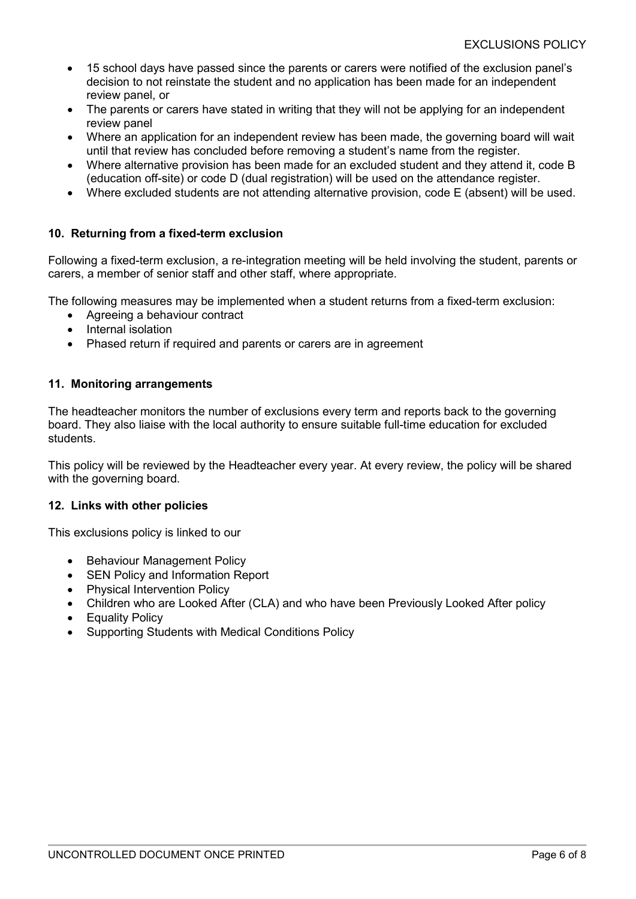- 15 school days have passed since the parents or carers were notified of the exclusion panel's decision to not reinstate the student and no application has been made for an independent review panel, or
- The parents or carers have stated in writing that they will not be applying for an independent review panel
- Where an application for an independent review has been made, the governing board will wait until that review has concluded before removing a student's name from the register.
- Where alternative provision has been made for an excluded student and they attend it, code B (education off-site) or code D (dual registration) will be used on the attendance register.
- Where excluded students are not attending alternative provision, code E (absent) will be used.

## **10. Returning from a fixed-term exclusion**

Following a fixed-term exclusion, a re-integration meeting will be held involving the student, parents or carers, a member of senior staff and other staff, where appropriate.

The following measures may be implemented when a student returns from a fixed-term exclusion:

- Agreeing a behaviour contract
- Internal isolation
- Phased return if required and parents or carers are in agreement

### **11. Monitoring arrangements**

The headteacher monitors the number of exclusions every term and reports back to the governing board. They also liaise with the local authority to ensure suitable full-time education for excluded students.

This policy will be reviewed by the Headteacher every year. At every review, the policy will be shared with the governing board.

### **12. Links with other policies**

This exclusions policy is linked to our

- Behaviour Management Policy
- **SEN Policy and Information Report**
- Physical Intervention Policy
- Children who are Looked After (CLA) and who have been Previously Looked After policy
- **Equality Policy**
- Supporting Students with Medical Conditions Policy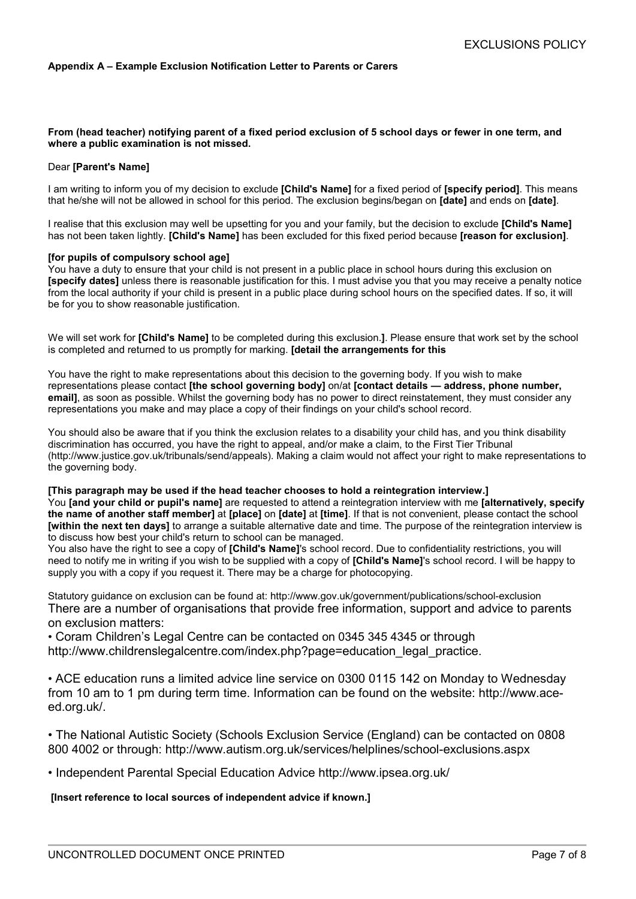#### **Appendix A – Example Exclusion Notification Letter to Parents or Carers**

#### **From (head teacher) notifying parent of a fixed period exclusion of 5 school days or fewer in one term, and where a public examination is not missed.**

#### Dear **[Parent's Name]**

I am writing to inform you of my decision to exclude **[Child's Name]** for a fixed period of **[specify period]**. This means that he/she will not be allowed in school for this period. The exclusion begins/began on **[date]** and ends on **[date]**.

I realise that this exclusion may well be upsetting for you and your family, but the decision to exclude **[Child's Name]** has not been taken lightly. **[Child's Name]** has been excluded for this fixed period because **[reason for exclusion]**.

#### **[for pupils of compulsory school age]**

You have a duty to ensure that your child is not present in a public place in school hours during this exclusion on **[specify dates]** unless there is reasonable justification for this. I must advise you that you may receive a penalty notice from the local authority if your child is present in a public place during school hours on the specified dates. If so, it will be for you to show reasonable justification.

We will set work for **[Child's Name]** to be completed during this exclusion.**]**. Please ensure that work set by the school is completed and returned to us promptly for marking. **[detail the arrangements for this**

You have the right to make representations about this decision to the governing body. If you wish to make representations please contact **[the school governing body]** on/at **[contact details — address, phone number, email]**, as soon as possible. Whilst the governing body has no power to direct reinstatement, they must consider any representations you make and may place a copy of their findings on your child's school record.

You should also be aware that if you think the exclusion relates to a disability your child has, and you think disability discrimination has occurred, you have the right to appeal, and/or make a claim, to the First Tier Tribunal (http://www.justice.gov.uk/tribunals/send/appeals). Making a claim would not affect your right to make representations to the governing body.

#### **[This paragraph may be used if the head teacher chooses to hold a reintegration interview.]**

You **[and your child or pupil's name]** are requested to attend a reintegration interview with me **[alternatively, specify the name of another staff member]** at **[place]** on **[date]** at **[time]**. If that is not convenient, please contact the school **[within the next ten days]** to arrange a suitable alternative date and time. The purpose of the reintegration interview is to discuss how best your child's return to school can be managed.

You also have the right to see a copy of **[Child's Name]**'s school record. Due to confidentiality restrictions, you will need to notify me in writing if you wish to be supplied with a copy of **[Child's Name]**'s school record. I will be happy to supply you with a copy if you request it. There may be a charge for photocopying.

Statutory guidance on exclusion can be found at: http://www.gov.uk/government/publications/school-exclusion There are a number of organisations that provide free information, support and advice to parents on exclusion matters:

• Coram Children's Legal Centre can be contacted on 0345 345 4345 or through http://www.childrenslegalcentre.com/index.php?page=education\_legal\_practice.

• ACE education runs a limited advice line service on 0300 0115 142 on Monday to Wednesday from 10 am to 1 pm during term time. Information can be found on the website: http://www.aceed.org.uk/.

• The National Autistic Society (Schools Exclusion Service (England) can be contacted on 0808 800 4002 or through: http://www.autism.org.uk/services/helplines/school-exclusions.aspx

• Independent Parental Special Education Advice http://www.ipsea.org.uk/

#### **[Insert reference to local sources of independent advice if known.]**